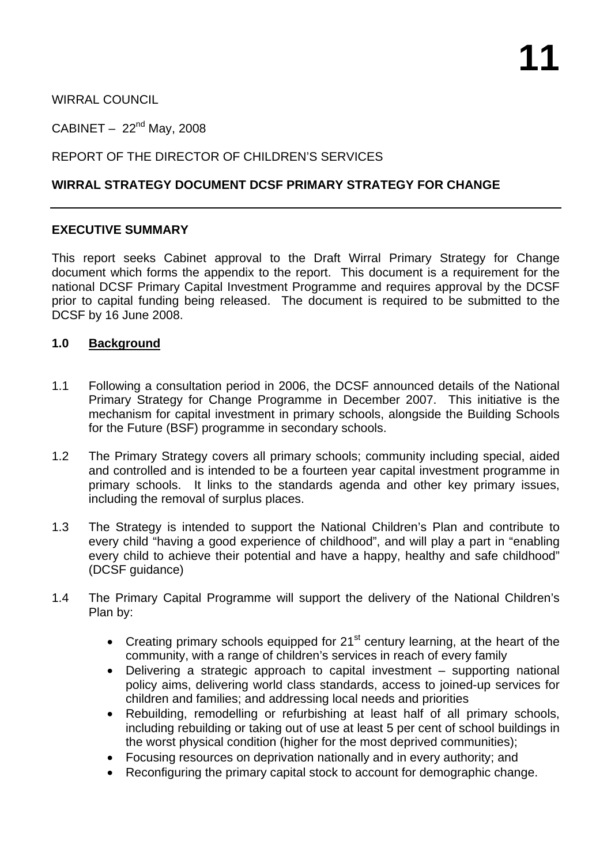WIRRAL COUNCIL

CABINET  $-22<sup>nd</sup>$  May, 2008

# REPORT OF THE DIRECTOR OF CHILDREN'S SERVICES

## **WIRRAL STRATEGY DOCUMENT DCSF PRIMARY STRATEGY FOR CHANGE**

## **EXECUTIVE SUMMARY**

This report seeks Cabinet approval to the Draft Wirral Primary Strategy for Change document which forms the appendix to the report. This document is a requirement for the national DCSF Primary Capital Investment Programme and requires approval by the DCSF prior to capital funding being released. The document is required to be submitted to the DCSF by 16 June 2008.

## **1.0 Background**

- 1.1 Following a consultation period in 2006, the DCSF announced details of the National Primary Strategy for Change Programme in December 2007. This initiative is the mechanism for capital investment in primary schools, alongside the Building Schools for the Future (BSF) programme in secondary schools.
- 1.2 The Primary Strategy covers all primary schools; community including special, aided and controlled and is intended to be a fourteen year capital investment programme in primary schools. It links to the standards agenda and other key primary issues, including the removal of surplus places.
- 1.3 The Strategy is intended to support the National Children's Plan and contribute to every child "having a good experience of childhood", and will play a part in "enabling every child to achieve their potential and have a happy, healthy and safe childhood" (DCSF guidance)
- 1.4 The Primary Capital Programme will support the delivery of the National Children's Plan by:
	- Creating primary schools equipped for  $21<sup>st</sup>$  century learning, at the heart of the community, with a range of children's services in reach of every family
	- Delivering a strategic approach to capital investment supporting national policy aims, delivering world class standards, access to joined-up services for children and families; and addressing local needs and priorities
	- Rebuilding, remodelling or refurbishing at least half of all primary schools, including rebuilding or taking out of use at least 5 per cent of school buildings in the worst physical condition (higher for the most deprived communities);
	- Focusing resources on deprivation nationally and in every authority; and
	- Reconfiguring the primary capital stock to account for demographic change.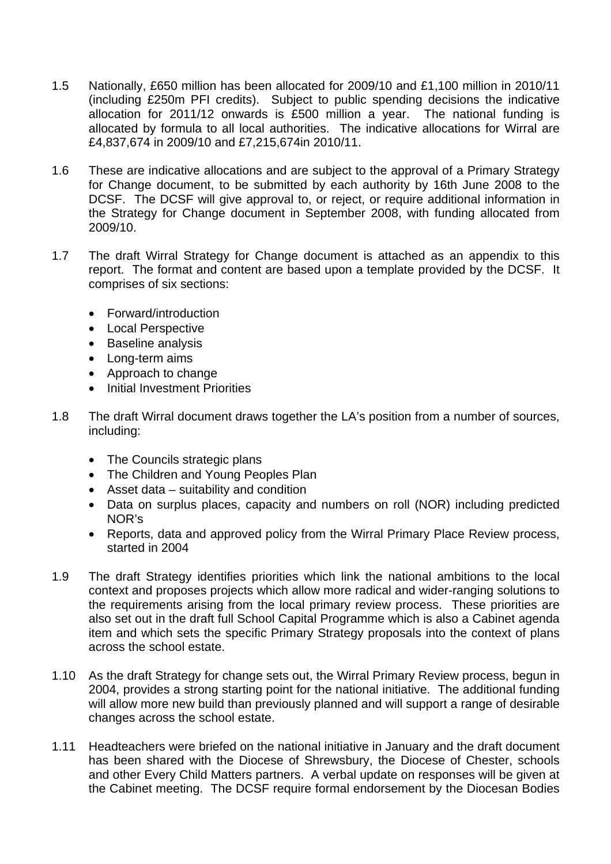- 1.5 Nationally, £650 million has been allocated for 2009/10 and £1,100 million in 2010/11 (including £250m PFI credits). Subject to public spending decisions the indicative allocation for 2011/12 onwards is £500 million a year. The national funding is allocated by formula to all local authorities. The indicative allocations for Wirral are £4,837,674 in 2009/10 and £7,215,674in 2010/11.
- 1.6 These are indicative allocations and are subject to the approval of a Primary Strategy for Change document, to be submitted by each authority by 16th June 2008 to the DCSF. The DCSF will give approval to, or reject, or require additional information in the Strategy for Change document in September 2008, with funding allocated from 2009/10.
- 1.7 The draft Wirral Strategy for Change document is attached as an appendix to this report. The format and content are based upon a template provided by the DCSF. It comprises of six sections:
	- Forward/introduction
	- Local Perspective
	- Baseline analysis
	- Long-term aims
	- Approach to change
	- Initial Investment Priorities
- 1.8 The draft Wirral document draws together the LA's position from a number of sources, including:
	- The Councils strategic plans
	- The Children and Young Peoples Plan
	- Asset data suitability and condition
	- Data on surplus places, capacity and numbers on roll (NOR) including predicted NOR's
	- Reports, data and approved policy from the Wirral Primary Place Review process, started in 2004
- 1.9 The draft Strategy identifies priorities which link the national ambitions to the local context and proposes projects which allow more radical and wider-ranging solutions to the requirements arising from the local primary review process. These priorities are also set out in the draft full School Capital Programme which is also a Cabinet agenda item and which sets the specific Primary Strategy proposals into the context of plans across the school estate.
- 1.10 As the draft Strategy for change sets out, the Wirral Primary Review process, begun in 2004, provides a strong starting point for the national initiative. The additional funding will allow more new build than previously planned and will support a range of desirable changes across the school estate.
- 1.11 Headteachers were briefed on the national initiative in January and the draft document has been shared with the Diocese of Shrewsbury, the Diocese of Chester, schools and other Every Child Matters partners. A verbal update on responses will be given at the Cabinet meeting. The DCSF require formal endorsement by the Diocesan Bodies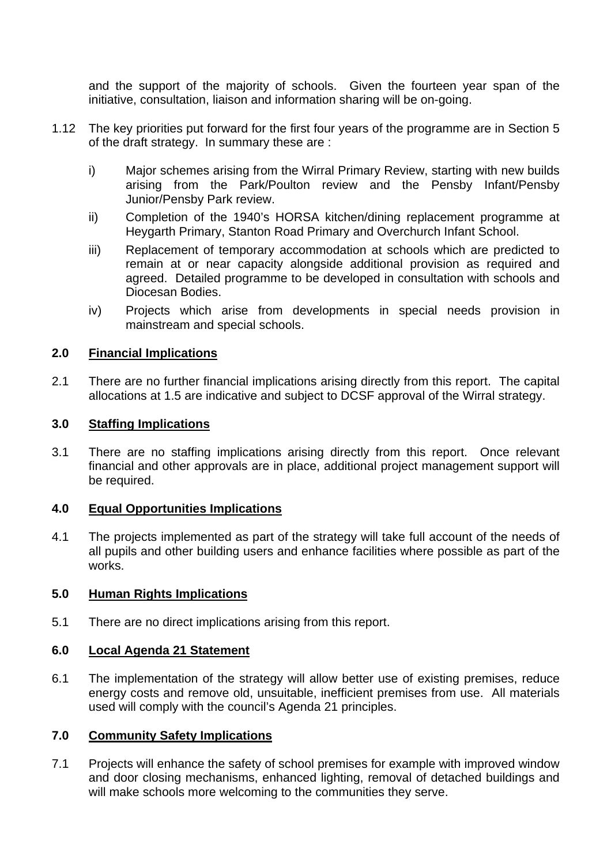and the support of the majority of schools. Given the fourteen year span of the initiative, consultation, liaison and information sharing will be on-going.

- 1.12 The key priorities put forward for the first four years of the programme are in Section 5 of the draft strategy. In summary these are :
	- i) Major schemes arising from the Wirral Primary Review, starting with new builds arising from the Park/Poulton review and the Pensby Infant/Pensby Junior/Pensby Park review.
	- ii) Completion of the 1940's HORSA kitchen/dining replacement programme at Heygarth Primary, Stanton Road Primary and Overchurch Infant School.
	- iii) Replacement of temporary accommodation at schools which are predicted to remain at or near capacity alongside additional provision as required and agreed. Detailed programme to be developed in consultation with schools and Diocesan Bodies.
	- iv) Projects which arise from developments in special needs provision in mainstream and special schools.

### **2.0 Financial Implications**

2.1 There are no further financial implications arising directly from this report. The capital allocations at 1.5 are indicative and subject to DCSF approval of the Wirral strategy.

#### **3.0 Staffing Implications**

3.1 There are no staffing implications arising directly from this report. Once relevant financial and other approvals are in place, additional project management support will be required.

### **4.0 Equal Opportunities Implications**

4.1 The projects implemented as part of the strategy will take full account of the needs of all pupils and other building users and enhance facilities where possible as part of the works.

### **5.0 Human Rights Implications**

5.1 There are no direct implications arising from this report.

#### **6.0 Local Agenda 21 Statement**

6.1 The implementation of the strategy will allow better use of existing premises, reduce energy costs and remove old, unsuitable, inefficient premises from use. All materials used will comply with the council's Agenda 21 principles.

### **7.0 Community Safety Implications**

7.1 Projects will enhance the safety of school premises for example with improved window and door closing mechanisms, enhanced lighting, removal of detached buildings and will make schools more welcoming to the communities they serve.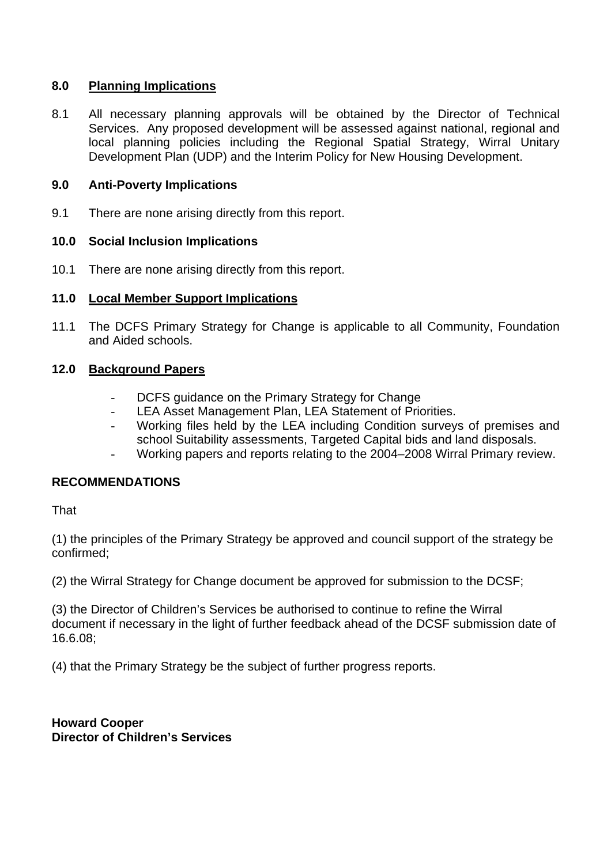## **8.0 Planning Implications**

8.1 All necessary planning approvals will be obtained by the Director of Technical Services. Any proposed development will be assessed against national, regional and local planning policies including the Regional Spatial Strategy, Wirral Unitary Development Plan (UDP) and the Interim Policy for New Housing Development.

### **9.0 Anti-Poverty Implications**

9.1 There are none arising directly from this report.

## **10.0 Social Inclusion Implications**

10.1 There are none arising directly from this report.

## **11.0 Local Member Support Implications**

11.1 The DCFS Primary Strategy for Change is applicable to all Community, Foundation and Aided schools.

## **12.0 Background Papers**

- DCFS guidance on the Primary Strategy for Change
- LEA Asset Management Plan, LEA Statement of Priorities.
- Working files held by the LEA including Condition surveys of premises and school Suitability assessments, Targeted Capital bids and land disposals.
- Working papers and reports relating to the 2004–2008 Wirral Primary review.

# **RECOMMENDATIONS**

That

(1) the principles of the Primary Strategy be approved and council support of the strategy be confirmed;

(2) the Wirral Strategy for Change document be approved for submission to the DCSF;

(3) the Director of Children's Services be authorised to continue to refine the Wirral document if necessary in the light of further feedback ahead of the DCSF submission date of 16.6.08;

(4) that the Primary Strategy be the subject of further progress reports.

**Howard Cooper Director of Children's Services**